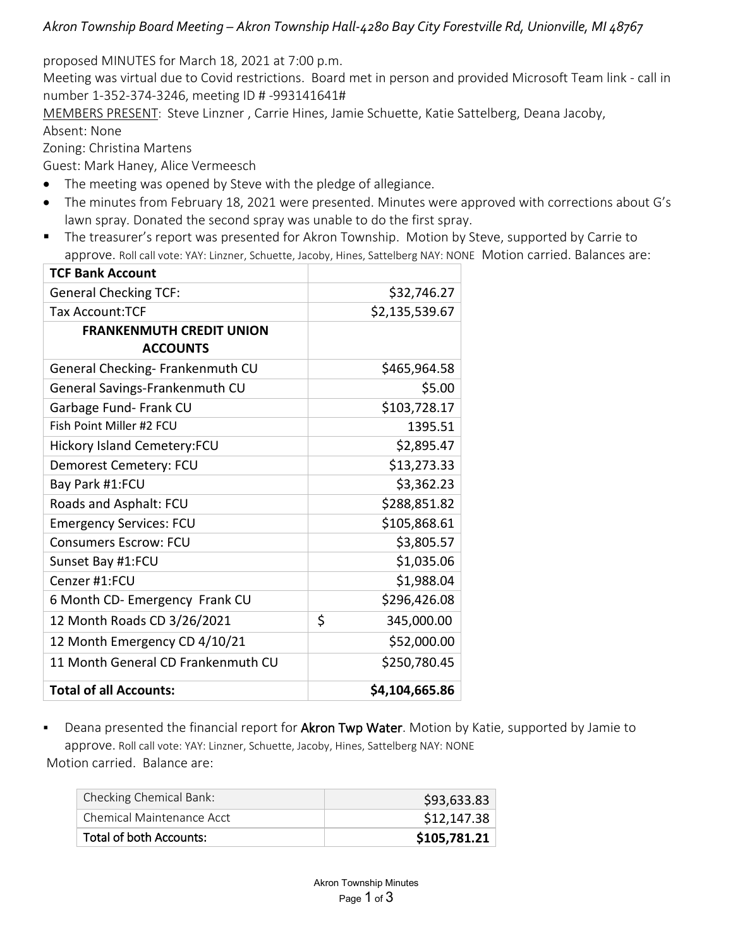*Akron Township Board Meeting – Akron Township Hall-4280 Bay City Forestville Rd, Unionville, MI 48767*

proposed MINUTES for March 18, 2021 at 7:00 p.m.

Meeting was virtual due to Covid restrictions. Board met in person and provided Microsoft Team link - call in number 1-352-374-3246, meeting ID # -993141641#

MEMBERS PRESENT: Steve Linzner , Carrie Hines, Jamie Schuette, Katie Sattelberg, Deana Jacoby,

Absent: None

Zoning: Christina Martens

Guest: Mark Haney, Alice Vermeesch

- The meeting was opened by Steve with the pledge of allegiance.
- The minutes from February 18, 2021 were presented. Minutes were approved with corrections about G's lawn spray. Donated the second spray was unable to do the first spray.
- The treasurer's report was presented for Akron Township. Motion by Steve, supported by Carrie to approve. Roll call vote: YAY: Linzner, Schuette, Jacoby, Hines, Sattelberg NAY: NONE Motion carried. Balances are:

| <b>TCF Bank Account</b>                            |   |                |
|----------------------------------------------------|---|----------------|
| <b>General Checking TCF:</b>                       |   | \$32,746.27    |
| <b>Tax Account:TCF</b>                             |   | \$2,135,539.67 |
| <b>FRANKENMUTH CREDIT UNION</b><br><b>ACCOUNTS</b> |   |                |
| General Checking- Frankenmuth CU                   |   | \$465,964.58   |
| General Savings-Frankenmuth CU                     |   | \$5.00         |
| Garbage Fund- Frank CU                             |   | \$103,728.17   |
| Fish Point Miller #2 FCU                           |   | 1395.51        |
| Hickory Island Cemetery:FCU                        |   | \$2,895.47     |
| Demorest Cemetery: FCU                             |   | \$13,273.33    |
| Bay Park #1:FCU                                    |   | \$3,362.23     |
| Roads and Asphalt: FCU                             |   | \$288,851.82   |
| <b>Emergency Services: FCU</b>                     |   | \$105,868.61   |
| <b>Consumers Escrow: FCU</b>                       |   | \$3,805.57     |
| Sunset Bay #1:FCU                                  |   | \$1,035.06     |
| Cenzer #1:FCU                                      |   | \$1,988.04     |
| 6 Month CD- Emergency Frank CU                     |   | \$296,426.08   |
| 12 Month Roads CD 3/26/2021                        | Ś | 345,000.00     |
| 12 Month Emergency CD 4/10/21                      |   | \$52,000.00    |
| 11 Month General CD Frankenmuth CU                 |   | \$250,780.45   |
| <b>Total of all Accounts:</b>                      |   | \$4,104,665.86 |

Deana presented the financial report for Akron Twp Water. Motion by Katie, supported by Jamie to approve. Roll call vote: YAY: Linzner, Schuette, Jacoby, Hines, Sattelberg NAY: NONE Motion carried. Balance are:

| Checking Chemical Bank:   | \$93,633.83  |
|---------------------------|--------------|
| Chemical Maintenance Acct | \$12,147.38  |
| Total of both Accounts:   | \$105,781.21 |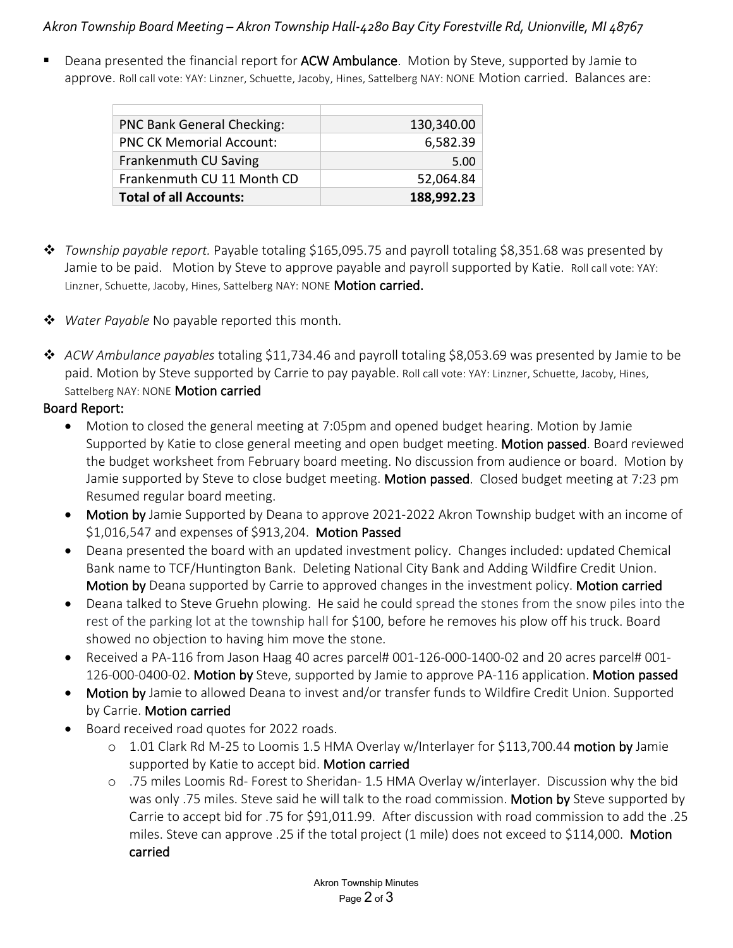## *Akron Township Board Meeting – Akron Township Hall-4280 Bay City Forestville Rd, Unionville, MI 48767*

Deana presented the financial report for ACW Ambulance. Motion by Steve, supported by Jamie to approve. Roll call vote: YAY: Linzner, Schuette, Jacoby, Hines, Sattelberg NAY: NONE Motion carried. Balances are:

| <b>PNC Bank General Checking:</b> | 130,340.00 |
|-----------------------------------|------------|
| <b>PNC CK Memorial Account:</b>   | 6,582.39   |
| Frankenmuth CU Saving             | 5.00       |
| Frankenmuth CU 11 Month CD        | 52,064.84  |
| <b>Total of all Accounts:</b>     | 188,992.23 |

- *Township payable report.* Payable totaling \$165,095.75 and payroll totaling \$8,351.68 was presented by Jamie to be paid. Motion by Steve to approve payable and payroll supported by Katie. Roll call vote: YAY: Linzner, Schuette, Jacoby, Hines, Sattelberg NAY: NONE Motion carried.
- *Water Payable* No payable reported this month.
- *ACW Ambulance payables* totaling \$11,734.46 and payroll totaling \$8,053.69 was presented by Jamie to be paid. Motion by Steve supported by Carrie to pay payable. Roll call vote: YAY: Linzner, Schuette, Jacoby, Hines, Sattelberg NAY: NONE Motion carried

## Board Report:

- Motion to closed the general meeting at 7:05pm and opened budget hearing. Motion by Jamie Supported by Katie to close general meeting and open budget meeting. Motion passed. Board reviewed the budget worksheet from February board meeting. No discussion from audience or board. Motion by Jamie supported by Steve to close budget meeting. Motion passed. Closed budget meeting at 7:23 pm Resumed regular board meeting.
- Motion by Jamie Supported by Deana to approve 2021-2022 Akron Township budget with an income of \$1,016,547 and expenses of \$913,204. Motion Passed
- Deana presented the board with an updated investment policy. Changes included: updated Chemical Bank name to TCF/Huntington Bank. Deleting National City Bank and Adding Wildfire Credit Union. Motion by Deana supported by Carrie to approved changes in the investment policy. Motion carried
- Deana talked to Steve Gruehn plowing. He said he could spread the stones from the snow piles into the rest of the parking lot at the township hall for \$100, before he removes his plow off his truck. Board showed no objection to having him move the stone.
- Received a PA-116 from Jason Haag 40 acres parcel# 001-126-000-1400-02 and 20 acres parcel# 001- 126-000-0400-02. Motion by Steve, supported by Jamie to approve PA-116 application. Motion passed
- Motion by Jamie to allowed Deana to invest and/or transfer funds to Wildfire Credit Union. Supported by Carrie. Motion carried
- Board received road quotes for 2022 roads.
	- o 1.01 Clark Rd M-25 to Loomis 1.5 HMA Overlay w/Interlayer for \$113,700.44 motion by Jamie supported by Katie to accept bid. Motion carried
	- o .75 miles Loomis Rd- Forest to Sheridan- 1.5 HMA Overlay w/interlayer. Discussion why the bid was only .75 miles. Steve said he will talk to the road commission. Motion by Steve supported by Carrie to accept bid for .75 for \$91,011.99. After discussion with road commission to add the .25 miles. Steve can approve .25 if the total project (1 mile) does not exceed to \$114,000. Motion carried